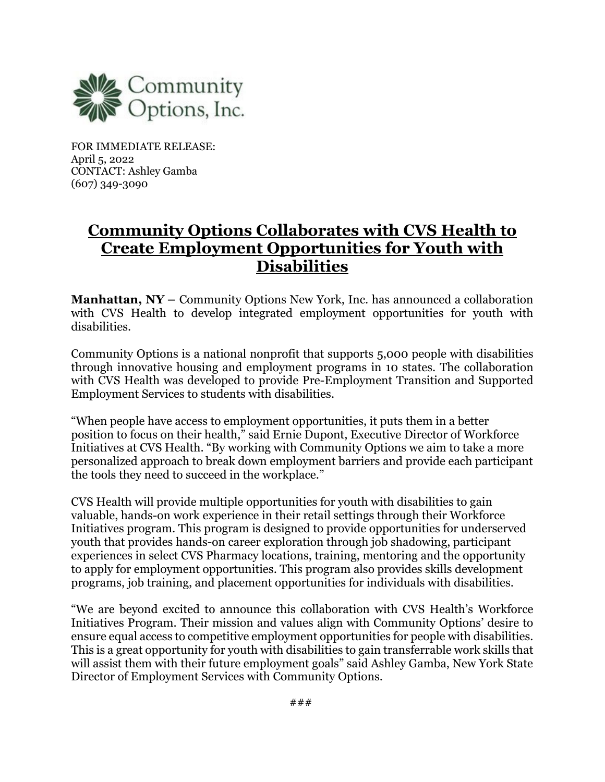

FOR IMMEDIATE RELEASE: April 5, 2022 CONTACT: Ashley Gamba (607) 349-3090

## **Community Options Collaborates with CVS Health to Create Employment Opportunities for Youth with Disabilities**

**Manhattan, NY** – Community Options New York, Inc. has announced a collaboration with CVS Health to develop integrated employment opportunities for youth with disabilities.

Community Options is a national nonprofit that supports 5,000 people with disabilities through innovative housing and employment programs in 10 states. The collaboration with CVS Health was developed to provide Pre-Employment Transition and Supported Employment Services to students with disabilities.

"When people have access to employment opportunities, it puts them in a better position to focus on their health," said Ernie Dupont, Executive Director of Workforce Initiatives at CVS Health. "By working with Community Options we aim to take a more personalized approach to break down employment barriers and provide each participant the tools they need to succeed in the workplace."

CVS Health will provide multiple opportunities for youth with disabilities to gain valuable, hands-on work experience in their retail settings through their Workforce Initiatives program. This program is designed to provide opportunities for underserved youth that provides hands-on career exploration through job shadowing, participant experiences in select CVS Pharmacy locations, training, mentoring and the opportunity to apply for employment opportunities. This program also provides skills development programs, job training, and placement opportunities for individuals with disabilities.

"We are beyond excited to announce this collaboration with CVS Health's Workforce Initiatives Program. Their mission and values align with Community Options' desire to ensure equal access to competitive employment opportunities for people with disabilities. This is a great opportunity for youth with disabilities to gain transferrable work skills that will assist them with their future employment goals" said Ashley Gamba, New York State Director of Employment Services with Community Options.